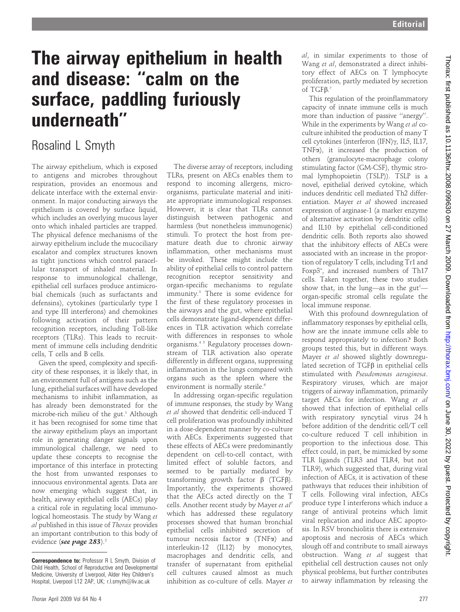## The airway epithelium in health and disease: ''calm on the surface, paddling furiously underneath''

### Rosalind L Smyth

The airway epithelium, which is exposed to antigens and microbes throughout respiration, provides an enormous and delicate interface with the external environment. In major conducting airways the epithelium is covered by surface liquid, which includes an overlying mucous layer onto which inhaled particles are trapped. The physical defence mechanisms of the airway epithelium include the mucociliary escalator and complex structures known as tight junctions which control paracellular transport of inhaled material. In response to immunological challenge, epithelial cell surfaces produce antimicrobial chemicals (such as surfactants and defensins), cytokines (particularly type I and type III interferons) and chemokines following activation of their pattern recognition receptors, including Toll-like receptors (TLRs). This leads to recruitment of immune cells including dendritic cells, T cells and B cells.

Given the speed, complexity and specificity of these responses, it is likely that, in an environment full of antigens such as the lung, epithelial surfaces will have developed mechanisms to inhibit inflammation, as has already been demonstrated for the microbe-rich milieu of the gut.<sup>1</sup> Although it has been recognised for some time that the airway epithelium plays an important role in generating danger signals upon immunological challenge, we need to update these concepts to recognise the importance of this interface in protecting the host from unwanted responses to innocuous environmental agents. Data are now emerging which suggest that, in health, airway epithelial cells (AECs) play a critical role in regulating local immunological homeostasis. The study by Wang et al published in this issue of Thorax provides an important contribution to this body of evidence (see page 283).<sup>2</sup>

The diverse array of receptors, including TLRs, present on AECs enables them to respond to incoming allergens, microorganisms, particulate material and initiate appropriate immunological responses. However, it is clear that TLRs cannot distinguish between pathogenic and harmless (but nonetheless immunogenic) stimuli. To protect the host from premature death due to chronic airway inflammation, other mechanisms must be invoked. These might include the ability of epithelial cells to control pattern recognition receptor sensitivity and organ-specific mechanisms to regulate immunity.3 There is some evidence for the first of these regulatory processes in the airways and the gut, where epithelial cells demonstrate ligand-dependent differences in TLR activation which correlate with differences in responses to whole organisms.4 5 Regulatory processes downstream of TLR activation also operate differently in different organs, suppressing inflammation in the lungs compared with organs such as the spleen where the environment is normally sterile.<sup>6</sup>

In addressing organ-specific regulation of immune responses, the study by Wang et al showed that dendritic cell-induced T cell proliferation was profoundly inhibited in a dose-dependent manner by co-culture with AECs. Experiments suggested that these effects of AECs were predominantly dependent on cell-to-cell contact, with limited effect of soluble factors, and seemed to be partially mediated by transforming growth factor  $\beta$  (TGF $\beta$ ). Importantly, the experiments showed that the AECs acted directly on the T cells. Another recent study by Mayer et al<sup>7</sup> which has addressed these regulatory processes showed that human bronchial epithelial cells inhibited secretion of tumour necrosis factor a (TNFa) and interleukin-12 (IL12) by monocytes, macrophages and dendritic cells, and transfer of supernatant from epithelial cell cultures caused almost as much inhibition as co-culture of cells. Mayer et

al, in similar experiments to those of Wang et al, demonstrated a direct inhibitory effect of AECs on T lymphocyte proliferation, partly mediated by secretion of  $TGF\beta$ .

This regulation of the proinflammatory capacity of innate immune cells is much more than induction of passive ''anergy''. While in the experiments by Wang et al coculture inhibited the production of many T cell cytokines (interferon (IFN) $\gamma$ , IL5, IL17, TNFa), it increased the production of others (granulocyte-macrophage colony stimulating factor (GM-CSF), thymic stromal lymphopoietin (TSLP)). TSLP is a novel, epithelial derived cytokine, which induces dendritic cell mediated Th2 differentiation. Mayer et al showed increased expression of arginase-1 (a marker enzyme of alternative activation by dendritic cells) and IL10 by epithelial cell-conditioned dendritic cells. Both reports also showed that the inhibitory effects of AECs were associated with an increase in the proportion of regulatory T cells, including Tr1 and Foxp3<sup>+</sup> , and increased numbers of Th17 cells. Taken together, these two studies show that, in the lung—as in the gut<sup>1</sup> organ-specific stromal cells regulate the local immune response.

With this profound downregulation of inflammatory responses by epithelial cells, how are the innate immune cells able to respond appropriately to infection? Both groups tested this, but in different ways. Mayer et al showed slightly downregulated secretion of  $TGF\beta$  in epithelial cells stimulated with Pseudomonas aeruginosa. Respiratory viruses, which are major triggers of airway inflammation, primarily target AECs for infection. Wang et al showed that infection of epithelial cells with respiratory syncytial virus 24 h before addition of the dendritic cell/T cell co-culture reduced T cell inhibition in proportion to the infectious dose. This effect could, in part, be mimicked by some TLR ligands (TLR3 and TLR4, but not TLR9), which suggested that, during viral infection of AECs, it is activation of these pathways that reduces their inhibition of T cells. Following viral infection, AECs produce type I interferons which induce a range of antiviral proteins which limit viral replication and induce AEC apoptosis. In RSV bronchiolitis there is extensive apoptosis and necrosis of AECs which slough off and contribute to small airways obstruction. Wang et al suggest that epithelial cell destruction causes not only physical problems, but further contributes to airway inflammation by releasing the

Correspondence to: Professor R L Smyth, Division of Child Health, School of Reproductive and Developmental Medicine, University of Liverpool, Alder Hey Children's Hospital, Liverpool L12 2AP, UK; r.l.smyth@liv.ac.uk